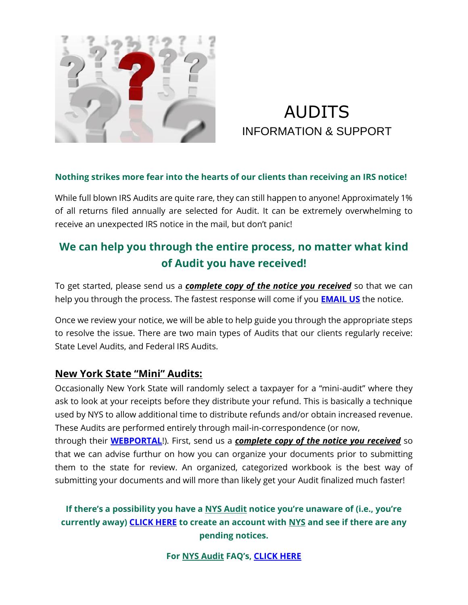

# AUDITS INFORMATION & SUPPORT

#### **Nothing strikes more fear into the hearts of our clients than receiving an IRS notice!**

While full blown IRS Audits are quite rare, they can still happen to anyone! Approximately 1% of all returns filed annually are selected for Audit. It can be extremely overwhelming to receive an unexpected IRS notice in the mail, but don't panic!

## **We can help you through the entire process, no matter what kind of Audit you have received!**

To get started, please send us a *complete copy of the notice you received* so that we can help you through the process. The fastest response will come if you **[EMAIL US](mailto:contact@drtaxguy.com)** the notice.

Once we review your notice, we will be able to help guide you through the appropriate steps to resolve the issue. There are two main types of Audits that our clients regularly receive: State Level Audits, and Federal IRS Audits.

#### **New York State "Mini" Audits:**

Occasionally New York State will randomly select a taxpayer for a "mini-audit" where they ask to look at your receipts before they distribute your refund. This is basically a technique used by NYS to allow additional time to distribute refunds and/or obtain increased revenue. These Audits are performed entirely through mail-in-correspondence (or now, through their **[WEBPORTAL](https://www.tax.ny.gov/online/bus.htm)**!). First, send us a *complete copy of the notice you received* so that we can advise furthur on how you can organize your documents prior to submitting them to the state for review. An organized, categorized workbook is the best way of submitting your documents and will more than likely get your Audit finalized much faster!

#### **If there's a possibility you have a NYS Audit notice you're unaware of (i.e., you're currently away) [CLICK HERE](https://my.ny.gov/sreg/Login?APP=nyappdtfotc&TYPE=33554433&REALMOID=06-51abda06-ec7d-100a-a048-80f01826304d&GUID=&SMAUTHREASON=0&METHOD=GET&SMAGENTNAME=$SM$BP%2bdJ5ZO2D3BiUYj5QEHUmta4Y9fmTEO3pUZsPjG4s66wJTboNw9s%2fxgpRxNevHq&TARGET=$SM$HTTPS%3a%2f%2fotc%2etax%2eny%2egov%2fwebapp%2fwcs%2fstores%2fservlet%2fSWANSiteminderLogon%3fstoreId%3d10151%26langId%3d-1%26catalogId%3d10001) to create an account with NYS and see if there are any pending notices.**

**For NYS Audit FAQ's, [CLICK HERE](https://www.tax.ny.gov/enforcement/criminal_enforcement/audit_home.htm)**